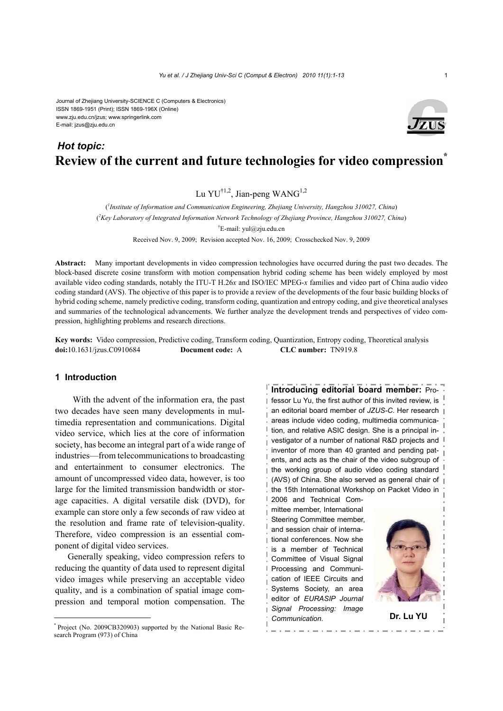#### Journal of Zhejiang University-SCIENCE C (Computers & Electronics) ISSN 1869-1951 (Print); ISSN 1869-196X (Online) www.zju.edu.cn/jzus; www.springerlink.com E-mail: jzus@zju.edu.cn

# **Review of the current and future technologies for video compression\*** *Hot topic:*

Lu YU<sup>†1,2</sup>, Jian-peng WANG<sup>1,2</sup>

( *1 Institute of Information and Communication Engineering, Zhejiang University, Hangzhou 310027, China*) ( *2 Key Laboratory of Integrated Information Network Technology of Zhejiang Province, Hangzhou 310027, China*) † E-mail: yul@zju.edu.cn

Received Nov. 9, 2009; Revision accepted Nov. 16, 2009; Crosschecked Nov. 9, 2009

**Abstract:** Many important developments in video compression technologies have occurred during the past two decades. The block-based discrete cosine transform with motion compensation hybrid coding scheme has been widely employed by most available video coding standards, notably the ITU-T H.26*x* and ISO/IEC MPEG-*x* families and video part of China audio video coding standard (AVS). The objective of this paper is to provide a review of the developments of the four basic building blocks of hybrid coding scheme, namely predictive coding, transform coding, quantization and entropy coding, and give theoretical analyses and summaries of the technological advancements. We further analyze the development trends and perspectives of video compression, highlighting problems and research directions.

**Key words:** Video compression, Predictive coding, Transform coding, Quantization, Entropy coding, Theoretical analysis **doi:**10.1631/jzus.C0910684 **Document code:** A **CLC number:** TN919.8

## **1 Introduction**

With the advent of the information era, the past two decades have seen many developments in multimedia representation and communications. Digital video service, which lies at the core of information society, has become an integral part of a wide range of industries—from telecommunications to broadcasting and entertainment to consumer electronics. The amount of uncompressed video data, however, is too large for the limited transmission bandwidth or storage capacities. A digital versatile disk (DVD), for example can store only a few seconds of raw video at the resolution and frame rate of television-quality. Therefore, video compression is an essential component of digital video services.

Generally speaking, video compression refers to reducing the quantity of data used to represent digital video images while preserving an acceptable video quality, and is a combination of spatial image compression and temporal motion compensation. The **Introducing editorial board member:** Professor Lu Yu, the first author of this invited review, is an editorial board member of *JZUS-C*. Her research areas include video coding, multimedia communication, and relative ASIC design. She is a principal investigator of a number of national R&D projects and I inventor of more than 40 granted and pending patents, and acts as the chair of the video subgroup of the working group of audio video coding standard (AVS) of China. She also served as general chair of the 15th International Workshop on Packet Video in 2006 and Technical Committee member, International Steering Committee member, and session chair of international conferences. Now she is a member of Technical Committee of Visual Signal Processing and Communication of IEEE Circuits and Systems Society, an area editor of *EURASIP Journal Signal Processing: Image* 

**Dr. Lu YU** 

*Communication*.



<sup>\*</sup> Project (No. 2009CB320903) supported by the National Basic Research Program (973) of China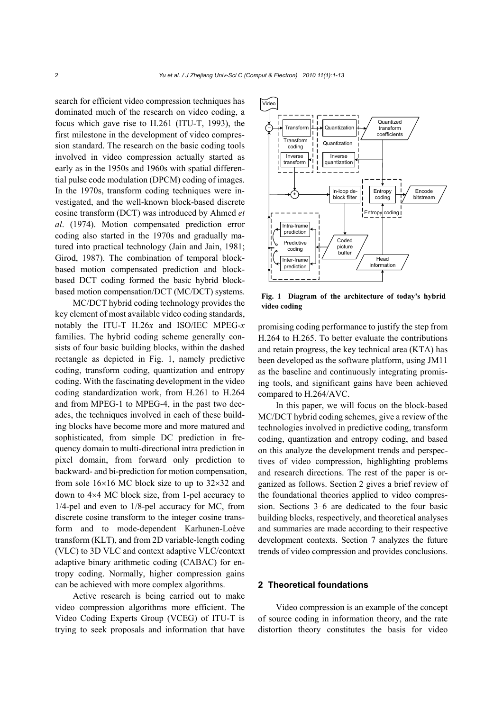search for efficient video compression techniques has dominated much of the research on video coding, a focus which gave rise to H.261 (ITU-T, 1993), the first milestone in the development of video compression standard. The research on the basic coding tools involved in video compression actually started as early as in the 1950s and 1960s with spatial differential pulse code modulation (DPCM) coding of images. In the 1970s, transform coding techniques were investigated, and the well-known block-based discrete cosine transform (DCT) was introduced by Ahmed *et al*. (1974). Motion compensated prediction error coding also started in the 1970s and gradually matured into practical technology (Jain and Jain, 1981; Girod, 1987). The combination of temporal blockbased motion compensated prediction and blockbased DCT coding formed the basic hybrid blockbased motion compensation/DCT (MC/DCT) systems.

MC/DCT hybrid coding technology provides the key element of most available video coding standards, notably the ITU-T H.26*x* and ISO/IEC MPEG-*x* families. The hybrid coding scheme generally consists of four basic building blocks, within the dashed rectangle as depicted in Fig. 1, namely predictive coding, transform coding, quantization and entropy coding. With the fascinating development in the video coding standardization work, from H.261 to H.264 and from MPEG-1 to MPEG-4, in the past two decades, the techniques involved in each of these building blocks have become more and more matured and sophisticated, from simple DC prediction in frequency domain to multi-directional intra prediction in pixel domain, from forward only prediction to backward- and bi-prediction for motion compensation, from sole  $16\times16$  MC block size to up to  $32\times32$  and down to 4×4 MC block size, from 1-pel accuracy to 1/4-pel and even to 1/8-pel accuracy for MC, from discrete cosine transform to the integer cosine transform and to mode-dependent Karhunen-Loève transform (KLT), and from 2D variable-length coding (VLC) to 3D VLC and context adaptive VLC/context adaptive binary arithmetic coding (CABAC) for entropy coding. Normally, higher compression gains can be achieved with more complex algorithms.

Active research is being carried out to make video compression algorithms more efficient. The Video Coding Experts Group (VCEG) of ITU-T is trying to seek proposals and information that have



**Fig. 1 Diagram of the architecture of today's hybrid video coding**

promising coding performance to justify the step from H.264 to H.265. To better evaluate the contributions and retain progress, the key technical area (KTA) has been developed as the software platform, using JM11 as the baseline and continuously integrating promising tools, and significant gains have been achieved compared to H.264/AVC.

In this paper, we will focus on the block-based MC/DCT hybrid coding schemes, give a review of the technologies involved in predictive coding, transform coding, quantization and entropy coding, and based on this analyze the development trends and perspectives of video compression, highlighting problems and research directions. The rest of the paper is organized as follows. Section 2 gives a brief review of the foundational theories applied to video compression. Sections 3–6 are dedicated to the four basic building blocks, respectively, and theoretical analyses and summaries are made according to their respective development contexts. Section 7 analyzes the future trends of video compression and provides conclusions.

## **2 Theoretical foundations**

Video compression is an example of the concept of source coding in information theory, and the rate distortion theory constitutes the basis for video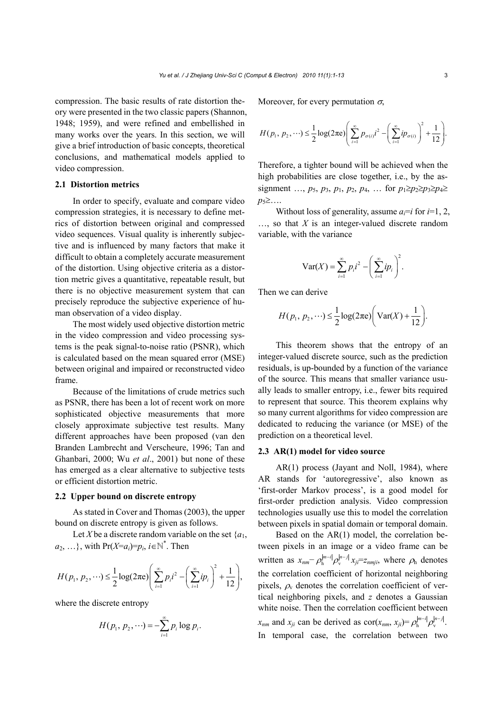compression. The basic results of rate distortion theory were presented in the two classic papers (Shannon, 1948; 1959), and were refined and embellished in many works over the years. In this section, we will give a brief introduction of basic concepts, theoretical conclusions, and mathematical models applied to video compression.

#### **2.1 Distortion metrics**

In order to specify, evaluate and compare video compression strategies, it is necessary to define metrics of distortion between original and compressed video sequences. Visual quality is inherently subjective and is influenced by many factors that make it difficult to obtain a completely accurate measurement of the distortion. Using objective criteria as a distortion metric gives a quantitative, repeatable result, but there is no objective measurement system that can precisely reproduce the subjective experience of human observation of a video display.

The most widely used objective distortion metric in the video compression and video processing systems is the peak signal-to-noise ratio (PSNR), which is calculated based on the mean squared error (MSE) between original and impaired or reconstructed video frame.

Because of the limitations of crude metrics such as PSNR, there has been a lot of recent work on more sophisticated objective measurements that more closely approximate subjective test results. Many different approaches have been proposed (van den Branden Lambrecht and Verscheure, 1996; Tan and Ghanbari, 2000; Wu *et al*., 2001) but none of these has emerged as a clear alternative to subjective tests or efficient distortion metric.

## **2.2 Upper bound on discrete entropy**

As stated in Cover and Thomas (2003), the upper bound on discrete entropy is given as follows.

Let *X* be a discrete random variable on the set  ${a_1}$ ,  $a_2, \ldots$ , with  $Pr(X=a_i)=p_i, i \in \mathbb{N}^*$ . Then

$$
H(p_1, p_2, \cdots) \leq \frac{1}{2} \log(2\pi e) \left( \sum_{i=1}^{\infty} p_i i^2 - \left( \sum_{i=1}^{\infty} i p_i \right)^2 + \frac{1}{12} \right),
$$

where the discrete entropy

$$
H(p_1, p_2, \cdots) = -\sum_{i=1}^{\infty} p_i \log p_i.
$$

Moreover, for every permutation  $\sigma$ ,

$$
H(p_1, p_2, \cdots) \leq \frac{1}{2} \log(2\pi e) \left( \sum_{i=1}^{\infty} p_{\sigma(i)} i^2 - \left( \sum_{i=1}^{\infty} i p_{\sigma(i)} \right)^2 + \frac{1}{12} \right).
$$

Therefore, a tighter bound will be achieved when the high probabilities are close together, i.e., by the assignment ...,  $p_5$ ,  $p_3$ ,  $p_1$ ,  $p_2$ ,  $p_4$ , ... for  $p_1 \geq p_2 \geq p_3 \geq p_4 \geq p_5$  $p_5 \geq$ ….

Without loss of generality, assume  $a_i = i$  for  $i = 1, 2,$ …, so that *X* is an integer-valued discrete random variable, with the variance

$$
\text{Var}(X) = \sum_{i=1}^{\infty} p_i i^2 - \left(\sum_{i=1}^{\infty} i p_i\right)^2.
$$

Then we can derive

$$
H(p_1, p_2, \cdots) \leq \frac{1}{2} \log(2\pi \mathrm{e}) \bigg( \mathrm{Var}(X) + \frac{1}{12} \bigg).
$$

This theorem shows that the entropy of an integer-valued discrete source, such as the prediction residuals, is up-bounded by a function of the variance of the source. This means that smaller variance usually leads to smaller entropy, i.e., fewer bits required to represent that source. This theorem explains why so many current algorithms for video compression are dedicated to reducing the variance (or MSE) of the prediction on a theoretical level.

#### **2.3 AR(1) model for video source**

AR(1) process (Jayant and Noll, 1984), where AR stands for 'autoregressive', also known as 'first-order Markov process', is a good model for first-order prediction analysis. Video compression technologies usually use this to model the correlation between pixels in spatial domain or temporal domain.

Based on the AR(1) model, the correlation between pixels in an image or a video frame can be written as  $x_{nm} - \rho_h^{|m-j|} \rho_v^{|n-j|} x_{ji} = z_{nmji}$ , where  $\rho_h$  denotes the correlation coefficient of horizontal neighboring pixels,  $\rho_{\rm v}$  denotes the correlation coefficient of vertical neighboring pixels, and *z* denotes a Gaussian white noise. Then the correlation coefficient between *x<sub>nm</sub>* and *x<sub>ji</sub>* can be derived as  $\text{cor}(x_{nm}, x_{ji}) = \rho_{\text{h}}^{|m-i|} \rho_{\text{v}}^{|n-j|}$ . In temporal case, the correlation between two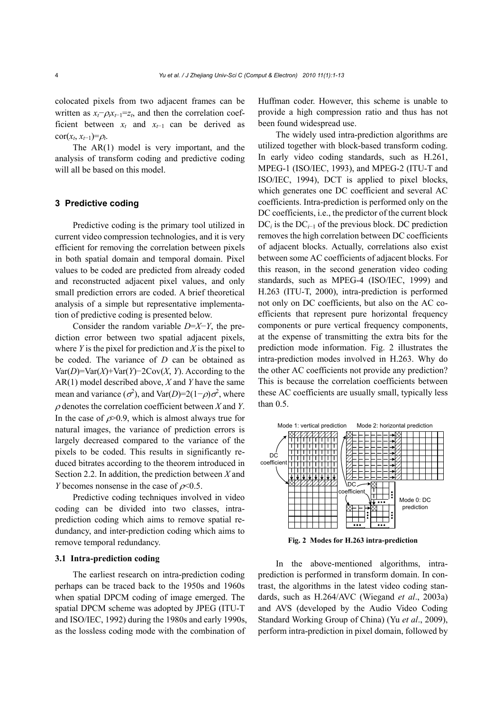colocated pixels from two adjacent frames can be written as  $x_t$ − $\rho x_{t-1}$ = $z_t$ , and then the correlation coefficient between  $x_t$  and  $x_{t-1}$  can be derived as  $cor(x_t, x_{t-1}) = \rho_t$ .

The AR(1) model is very important, and the analysis of transform coding and predictive coding will all be based on this model.

## **3 Predictive coding**

Predictive coding is the primary tool utilized in current video compression technologies, and it is very efficient for removing the correlation between pixels in both spatial domain and temporal domain. Pixel values to be coded are predicted from already coded and reconstructed adjacent pixel values, and only small prediction errors are coded. A brief theoretical analysis of a simple but representative implementation of predictive coding is presented below.

Consider the random variable *D*=*X*−*Y*, the prediction error between two spatial adjacent pixels, where *Y* is the pixel for prediction and *X* is the pixel to be coded. The variance of *D* can be obtained as Var(*D*)=Var(*X*)+Var(*Y*)−2Cov(*X*, *Y*). According to the AR(1) model described above, *X* and *Y* have the same mean and variance  $(\sigma^2)$ , and Var(*D*)=2(1- $\rho$ ) $\sigma^2$ , where <sup>ρ</sup> denotes the correlation coefficient between *X* and *Y*. In the case of  $\rho$ >0.9, which is almost always true for natural images, the variance of prediction errors is largely decreased compared to the variance of the pixels to be coded. This results in significantly reduced bitrates according to the theorem introduced in Section 2.2. In addition, the prediction between *X* and *Y* becomes nonsense in the case of  $\rho \le 0.5$ .

Predictive coding techniques involved in video coding can be divided into two classes, intraprediction coding which aims to remove spatial redundancy, and inter-prediction coding which aims to remove temporal redundancy.

## **3.1 Intra-prediction coding**

The earliest research on intra-prediction coding perhaps can be traced back to the 1950s and 1960s when spatial DPCM coding of image emerged. The spatial DPCM scheme was adopted by JPEG (ITU-T and ISO/IEC, 1992) during the 1980s and early 1990s, as the lossless coding mode with the combination of

Huffman coder. However, this scheme is unable to provide a high compression ratio and thus has not been found widespread use.

The widely used intra-prediction algorithms are utilized together with block-based transform coding. In early video coding standards, such as H.261, MPEG-1 (ISO/IEC, 1993), and MPEG-2 (ITU-T and ISO/IEC, 1994), DCT is applied to pixel blocks, which generates one DC coefficient and several AC coefficients. Intra-prediction is performed only on the DC coefficients, i.e., the predictor of the current block DC<sub>*i*</sub> is the DC<sub>*i*−1</sub> of the previous block. DC prediction removes the high correlation between DC coefficients of adjacent blocks. Actually, correlations also exist between some AC coefficients of adjacent blocks. For this reason, in the second generation video coding standards, such as MPEG-4 (ISO/IEC, 1999) and H.263 (ITU-T, 2000), intra-prediction is performed not only on DC coefficients, but also on the AC coefficients that represent pure horizontal frequency components or pure vertical frequency components, at the expense of transmitting the extra bits for the prediction mode information. Fig. 2 illustrates the intra-prediction modes involved in H.263. Why do the other AC coefficients not provide any prediction? This is because the correlation coefficients between these AC coefficients are usually small, typically less than 0.5.



**Fig. 2 Modes for H.263 intra-prediction** 

In the above-mentioned algorithms, intraprediction is performed in transform domain. In contrast, the algorithms in the latest video coding standards, such as H.264/AVC (Wiegand *et al*., 2003a) and AVS (developed by the Audio Video Coding Standard Working Group of China) (Yu *et al*., 2009), perform intra-prediction in pixel domain, followed by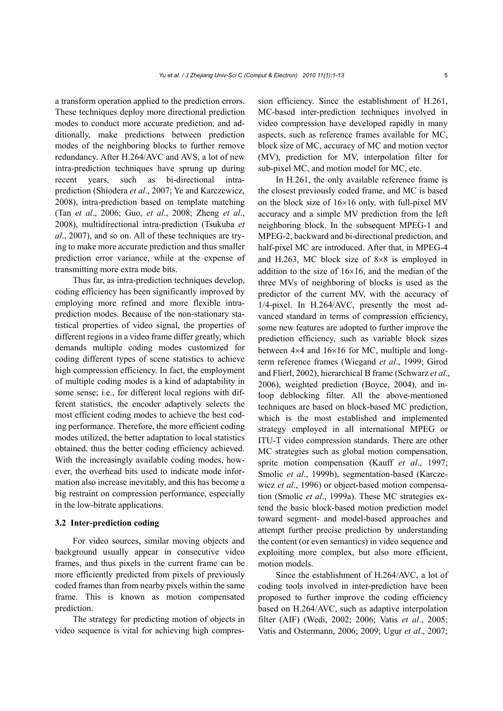a transform operation applied to the prediction errors. These techniques deploy more directional prediction modes to conduct more accurate prediction, and additionally, make predictions between prediction modes of the neighboring blocks to further remove redundancy. After H.264/AVC and AVS, a lot of new intra-prediction techniques have sprung up during recent years, such as bi-directional intraprediction (Shiodera *et al*., 2007; Ye and Karczewicz, 2008), intra-prediction based on template matching (Tan *et al*., 2006; Guo, *et al*., 2008; Zheng *et al*., 2008), multidirectional intra-prediction (Tsukuba *et al*., 2007), and so on. All of these techniques are trying to make more accurate prediction and thus smaller prediction error variance, while at the expense of transmitting more extra mode bits.

Thus far, as intra-prediction techniques develop, coding efficiency has been significantly improved by employing more refined and more flexible intraprediction modes. Because of the non-stationary statistical properties of video signal, the properties of different regions in a video frame differ greatly, which demands multiple coding modes customized for coding different types of scene statistics to achieve high compression efficiency. In fact, the employment of multiple coding modes is a kind of adaptability in some sense; i.e., for different local regions with different statistics, the encoder adaptively selects the most efficient coding modes to achieve the best coding performance. Therefore, the more efficient coding modes utilized, the better adaptation to local statistics obtained, thus the better coding efficiency achieved. With the increasingly available coding modes, however, the overhead bits used to indicate mode information also increase inevitably, and this has become a big restraint on compression performance, especially in the low-bitrate applications.

#### **3.2 Inter-prediction coding**

For video sources, similar moving objects and background usually appear in consecutive video frames, and thus pixels in the current frame can be more efficiently predicted from pixels of previously coded frames than from nearby pixels within the same frame. This is known as motion compensated prediction.

The strategy for predicting motion of objects in video sequence is vital for achieving high compression efficiency. Since the establishment of H.261, MC-based inter-prediction techniques involved in video compression have developed rapidly in many aspects, such as reference frames available for MC, block size of MC, accuracy of MC and motion vector (MV), prediction for MV, interpolation filter for sub-pixel MC, and motion model for MC, etc.

In H.261, the only available reference frame is the closest previously coded frame, and MC is based on the block size of 16×16 only, with full-pixel MV accuracy and a simple MV prediction from the left neighboring block. In the subsequent MPEG-1 and MPEG-2, backward and bi-directional prediction, and half-pixel MC are introduced. After that, in MPEG-4 and H.263, MC block size of 8×8 is employed in addition to the size of  $16\times16$ , and the median of the three MVs of neighboring of blocks is used as the predictor of the current MV, with the accuracy of 1/4-pixel. In H.264/AVC, presently the most advanced standard in terms of compression efficiency, some new features are adopted to further improve the prediction efficiency, such as variable block sizes between 4×4 and 16×16 for MC, multiple and longterm reference frames (Wiegand *et al*., 1999; Girod and Flierl, 2002), hierarchical B frame (Schwarz *et al*., 2006), weighted prediction (Boyce, 2004), and inloop deblocking filter. All the above-mentioned techniques are based on block-based MC prediction, which is the most established and implemented strategy employed in all international MPEG or ITU-T video compression standards. There are other MC strategies such as global motion compensation, sprite motion compensation (Kauff *et al*., 1997; Smolic *et al*., 1999b), segmentation-based (Karczewicz *et al*., 1996) or object-based motion compensation (Smolic *et al*., 1999a). These MC strategies extend the basic block-based motion prediction model toward segment- and model-based approaches and attempt further precise prediction by understanding the content (or even semantics) in video sequence and exploiting more complex, but also more efficient, motion models.

Since the establishment of H.264/AVC, a lot of coding tools involved in inter-prediction have been proposed to further improve the coding efficiency based on H.264/AVC, such as adaptive interpolation filter (AIF) (Wedi, 2002; 2006; Vatis *et al*., 2005; Vatis and Ostermann, 2006; 2009; Ugur *et al*., 2007;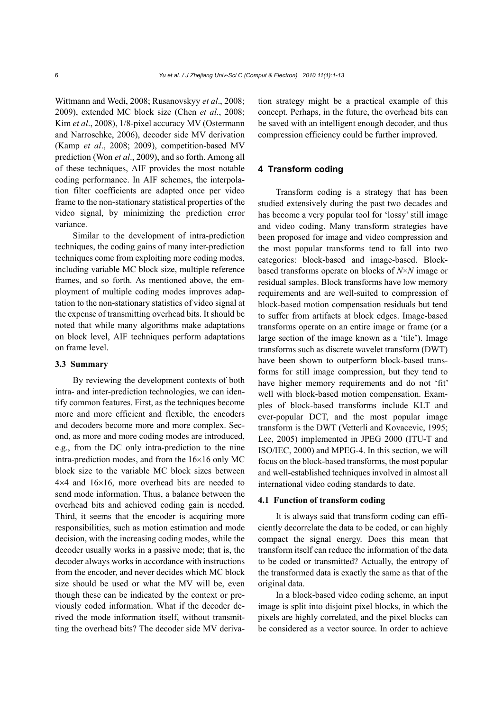Wittmann and Wedi, 2008; Rusanovskyy *et al*., 2008; 2009), extended MC block size (Chen *et al*., 2008; Kim *et al*., 2008), 1/8-pixel accuracy MV (Ostermann and Narroschke, 2006), decoder side MV derivation (Kamp *et al*., 2008; 2009), competition-based MV prediction (Won *et al*., 2009), and so forth. Among all of these techniques, AIF provides the most notable coding performance. In AIF schemes, the interpolation filter coefficients are adapted once per video frame to the non-stationary statistical properties of the video signal, by minimizing the prediction error variance.

Similar to the development of intra-prediction techniques, the coding gains of many inter-prediction techniques come from exploiting more coding modes, including variable MC block size, multiple reference frames, and so forth. As mentioned above, the employment of multiple coding modes improves adaptation to the non-stationary statistics of video signal at the expense of transmitting overhead bits. It should be noted that while many algorithms make adaptations on block level, AIF techniques perform adaptations on frame level.

## **3.3 Summary**

By reviewing the development contexts of both intra- and inter-prediction technologies, we can identify common features. First, as the techniques become more and more efficient and flexible, the encoders and decoders become more and more complex. Second, as more and more coding modes are introduced, e.g., from the DC only intra-prediction to the nine intra-prediction modes, and from the 16×16 only MC block size to the variable MC block sizes between 4×4 and 16×16, more overhead bits are needed to send mode information. Thus, a balance between the overhead bits and achieved coding gain is needed. Third, it seems that the encoder is acquiring more responsibilities, such as motion estimation and mode decision, with the increasing coding modes, while the decoder usually works in a passive mode; that is, the decoder always works in accordance with instructions from the encoder, and never decides which MC block size should be used or what the MV will be, even though these can be indicated by the context or previously coded information. What if the decoder derived the mode information itself, without transmitting the overhead bits? The decoder side MV derivation strategy might be a practical example of this concept. Perhaps, in the future, the overhead bits can be saved with an intelligent enough decoder, and thus compression efficiency could be further improved.

### **4 Transform coding**

Transform coding is a strategy that has been studied extensively during the past two decades and has become a very popular tool for 'lossy' still image and video coding. Many transform strategies have been proposed for image and video compression and the most popular transforms tend to fall into two categories: block-based and image-based. Blockbased transforms operate on blocks of *N*×*N* image or residual samples. Block transforms have low memory requirements and are well-suited to compression of block-based motion compensation residuals but tend to suffer from artifacts at block edges. Image-based transforms operate on an entire image or frame (or a large section of the image known as a 'tile'). Image transforms such as discrete wavelet transform (DWT) have been shown to outperform block-based transforms for still image compression, but they tend to have higher memory requirements and do not 'fit' well with block-based motion compensation. Examples of block-based transforms include KLT and ever-popular DCT, and the most popular image transform is the DWT (Vetterli and Kovacevic, 1995; Lee, 2005) implemented in JPEG 2000 (ITU-T and ISO/IEC, 2000) and MPEG-4. In this section, we will focus on the block-based transforms, the most popular and well-established techniques involved in almost all international video coding standards to date.

## **4.1 Function of transform coding**

It is always said that transform coding can efficiently decorrelate the data to be coded, or can highly compact the signal energy. Does this mean that transform itself can reduce the information of the data to be coded or transmitted? Actually, the entropy of the transformed data is exactly the same as that of the original data.

In a block-based video coding scheme, an input image is split into disjoint pixel blocks, in which the pixels are highly correlated, and the pixel blocks can be considered as a vector source. In order to achieve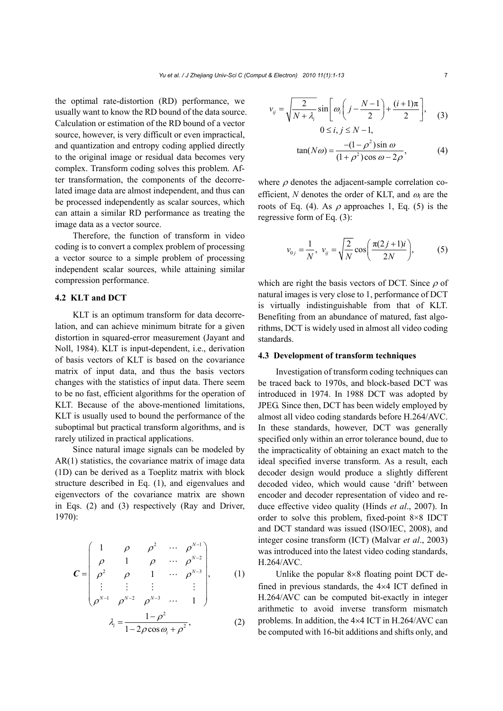the optimal rate-distortion (RD) performance, we usually want to know the RD bound of the data source. Calculation or estimation of the RD bound of a vector source, however, is very difficult or even impractical, and quantization and entropy coding applied directly to the original image or residual data becomes very complex. Transform coding solves this problem. After transformation, the components of the decorrelated image data are almost independent, and thus can be processed independently as scalar sources, which can attain a similar RD performance as treating the image data as a vector source.

Therefore, the function of transform in video coding is to convert a complex problem of processing a vector source to a simple problem of processing independent scalar sources, while attaining similar compression performance.

## **4.2 KLT and DCT**

KLT is an optimum transform for data decorrelation, and can achieve minimum bitrate for a given distortion in squared-error measurement (Jayant and Noll, 1984). KLT is input-dependent, i.e., derivation of basis vectors of KLT is based on the covariance matrix of input data, and thus the basis vectors changes with the statistics of input data. There seem to be no fast, efficient algorithms for the operation of KLT. Because of the above-mentioned limitations, KLT is usually used to bound the performance of the suboptimal but practical transform algorithms, and is rarely utilized in practical applications.

Since natural image signals can be modeled by AR(1) statistics, the covariance matrix of image data (1D) can be derived as a Toeplitz matrix with block structure described in Eq. (1), and eigenvalues and eigenvectors of the covariance matrix are shown in Eqs. (2) and (3) respectively (Ray and Driver, 1970):

$$
C = \begin{pmatrix} 1 & \rho & \rho^2 & \cdots & \rho^{N-1} \\ \rho & 1 & \rho & \cdots & \rho^{N-2} \\ \rho^2 & \rho & 1 & \cdots & \rho^{N-3} \\ \vdots & \vdots & \vdots & & \vdots \\ \rho^{N-1} & \rho^{N-2} & \rho^{N-3} & \cdots & 1 \end{pmatrix}, \qquad (1)
$$

$$
\lambda_i = \frac{1 - \rho^2}{1 - 2\rho \cos \omega_i + \rho^2}, \qquad (2)
$$

$$
v_{ij} = \sqrt{\frac{2}{N+\lambda_i}} \sin \left[\omega_i \left(j - \frac{N-1}{2}\right) + \frac{(i+1)\pi}{2}\right],
$$
 (3)  
 
$$
0 \le i, j \le N-1,
$$

$$
\tan(N\omega) = \frac{-(1-\rho^2)\sin\omega}{(1+\rho^2)\cos\omega - 2\rho},
$$
 (4)

where  $\rho$  denotes the adjacent-sample correlation coefficient, *N* denotes the order of KLT, and  $\omega_i$  are the roots of Eq. (4). As  $\rho$  approaches 1, Eq. (5) is the regressive form of Eq. (3):

$$
v_{0j} = \frac{1}{N}, v_{ij} = \sqrt{\frac{2}{N}} \cos\left(\frac{\pi(2j+1)i}{2N}\right),
$$
 (5)

which are right the basis vectors of DCT. Since  $\rho$  of natural images is very close to 1, performance of DCT is virtually indistinguishable from that of KLT. Benefiting from an abundance of matured, fast algorithms, DCT is widely used in almost all video coding standards.

#### **4.3 Development of transform techniques**

Investigation of transform coding techniques can be traced back to 1970s, and block-based DCT was introduced in 1974. In 1988 DCT was adopted by JPEG. Since then, DCT has been widely employed by almost all video coding standards before H.264/AVC. In these standards, however, DCT was generally specified only within an error tolerance bound, due to the impracticality of obtaining an exact match to the ideal specified inverse transform. As a result, each decoder design would produce a slightly different decoded video, which would cause 'drift' between encoder and decoder representation of video and reduce effective video quality (Hinds *et al*., 2007). In order to solve this problem, fixed-point 8×8 IDCT and DCT standard was issued (ISO/IEC, 2008), and integer cosine transform (ICT) (Malvar *et al*., 2003) was introduced into the latest video coding standards, H.264/AVC.

Unlike the popular 8×8 floating point DCT defined in previous standards, the 4×4 ICT defined in H.264/AVC can be computed bit-exactly in integer arithmetic to avoid inverse transform mismatch problems. In addition, the 4×4 ICT in H.264/AVC can be computed with 16-bit additions and shifts only, and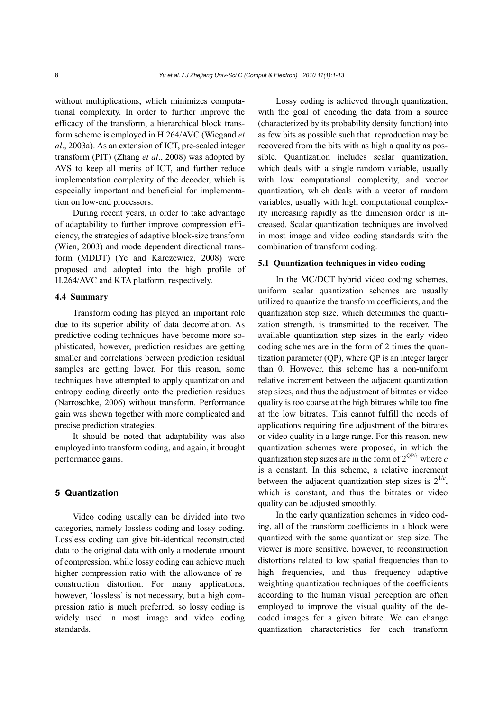without multiplications, which minimizes computational complexity. In order to further improve the efficacy of the transform, a hierarchical block transform scheme is employed in H.264/AVC (Wiegand *et al*., 2003a). As an extension of ICT, pre-scaled integer transform (PIT) (Zhang *et al*., 2008) was adopted by AVS to keep all merits of ICT, and further reduce implementation complexity of the decoder, which is especially important and beneficial for implementation on low-end processors.

During recent years, in order to take advantage of adaptability to further improve compression efficiency, the strategies of adaptive block-size transform (Wien, 2003) and mode dependent directional transform (MDDT) (Ye and Karczewicz, 2008) were proposed and adopted into the high profile of H.264/AVC and KTA platform, respectively.

## **4.4 Summary**

Transform coding has played an important role due to its superior ability of data decorrelation. As predictive coding techniques have become more sophisticated, however, prediction residues are getting smaller and correlations between prediction residual samples are getting lower. For this reason, some techniques have attempted to apply quantization and entropy coding directly onto the prediction residues (Narroschke, 2006) without transform. Performance gain was shown together with more complicated and precise prediction strategies.

It should be noted that adaptability was also employed into transform coding, and again, it brought performance gains.

## **5 Quantization**

Video coding usually can be divided into two categories, namely lossless coding and lossy coding. Lossless coding can give bit-identical reconstructed data to the original data with only a moderate amount of compression, while lossy coding can achieve much higher compression ratio with the allowance of reconstruction distortion. For many applications, however, 'lossless' is not necessary, but a high compression ratio is much preferred, so lossy coding is widely used in most image and video coding standards.

Lossy coding is achieved through quantization, with the goal of encoding the data from a source (characterized by its probability density function) into as few bits as possible such that reproduction may be recovered from the bits with as high a quality as possible. Quantization includes scalar quantization, which deals with a single random variable, usually with low computational complexity, and vector quantization, which deals with a vector of random variables, usually with high computational complexity increasing rapidly as the dimension order is increased. Scalar quantization techniques are involved in most image and video coding standards with the combination of transform coding.

## **5.1 Quantization techniques in video coding**

In the MC/DCT hybrid video coding schemes, uniform scalar quantization schemes are usually utilized to quantize the transform coefficients, and the quantization step size, which determines the quantization strength, is transmitted to the receiver. The available quantization step sizes in the early video coding schemes are in the form of 2 times the quantization parameter (QP), where QP is an integer larger than 0. However, this scheme has a non-uniform relative increment between the adjacent quantization step sizes, and thus the adjustment of bitrates or video quality is too coarse at the high bitrates while too fine at the low bitrates. This cannot fulfill the needs of applications requiring fine adjustment of the bitrates or video quality in a large range. For this reason, new quantization schemes were proposed, in which the quantization step sizes are in the form of  $2^{QP/c}$  where *c* is a constant. In this scheme, a relative increment between the adjacent quantization step sizes is  $2^{1/c}$ , which is constant, and thus the bitrates or video quality can be adjusted smoothly.

In the early quantization schemes in video coding, all of the transform coefficients in a block were quantized with the same quantization step size. The viewer is more sensitive, however, to reconstruction distortions related to low spatial frequencies than to high frequencies, and thus frequency adaptive weighting quantization techniques of the coefficients according to the human visual perception are often employed to improve the visual quality of the decoded images for a given bitrate. We can change quantization characteristics for each transform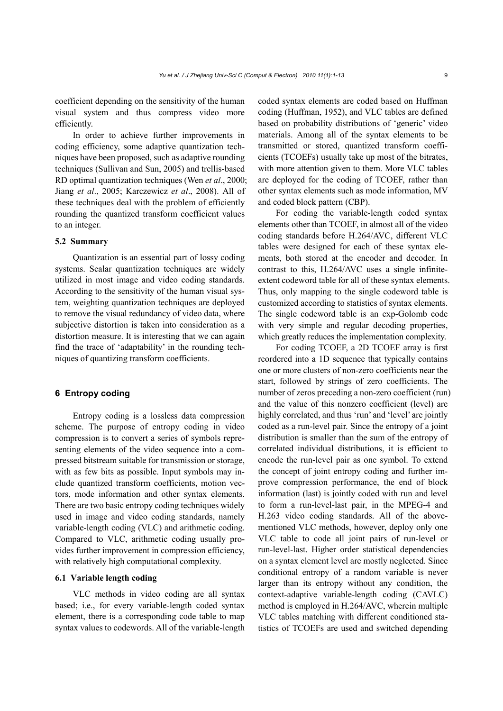coefficient depending on the sensitivity of the human visual system and thus compress video more efficiently.

In order to achieve further improvements in coding efficiency, some adaptive quantization techniques have been proposed, such as adaptive rounding techniques (Sullivan and Sun, 2005) and trellis-based RD optimal quantization techniques (Wen *et al*., 2000; Jiang *et al*., 2005; Karczewicz *et al*., 2008). All of these techniques deal with the problem of efficiently rounding the quantized transform coefficient values to an integer.

## **5.2 Summary**

Quantization is an essential part of lossy coding systems. Scalar quantization techniques are widely utilized in most image and video coding standards. According to the sensitivity of the human visual system, weighting quantization techniques are deployed to remove the visual redundancy of video data, where subjective distortion is taken into consideration as a distortion measure. It is interesting that we can again find the trace of 'adaptability' in the rounding techniques of quantizing transform coefficients.

## **6 Entropy coding**

Entropy coding is a lossless data compression scheme. The purpose of entropy coding in video compression is to convert a series of symbols representing elements of the video sequence into a compressed bitstream suitable for transmission or storage, with as few bits as possible. Input symbols may include quantized transform coefficients, motion vectors, mode information and other syntax elements. There are two basic entropy coding techniques widely used in image and video coding standards, namely variable-length coding (VLC) and arithmetic coding. Compared to VLC, arithmetic coding usually provides further improvement in compression efficiency, with relatively high computational complexity.

#### **6.1 Variable length coding**

VLC methods in video coding are all syntax based; i.e., for every variable-length coded syntax element, there is a corresponding code table to map syntax values to codewords. All of the variable-length coded syntax elements are coded based on Huffman coding (Huffman, 1952), and VLC tables are defined based on probability distributions of 'generic' video materials. Among all of the syntax elements to be transmitted or stored, quantized transform coefficients (TCOEFs) usually take up most of the bitrates, with more attention given to them. More VLC tables are deployed for the coding of TCOEF, rather than other syntax elements such as mode information, MV and coded block pattern (CBP).

For coding the variable-length coded syntax elements other than TCOEF, in almost all of the video coding standards before H.264/AVC, different VLC tables were designed for each of these syntax elements, both stored at the encoder and decoder. In contrast to this, H.264/AVC uses a single infiniteextent codeword table for all of these syntax elements. Thus, only mapping to the single codeword table is customized according to statistics of syntax elements. The single codeword table is an exp-Golomb code with very simple and regular decoding properties, which greatly reduces the implementation complexity.

For coding TCOEF, a 2D TCOEF array is first reordered into a 1D sequence that typically contains one or more clusters of non-zero coefficients near the start, followed by strings of zero coefficients. The number of zeros preceding a non-zero coefficient (run) and the value of this nonzero coefficient (level) are highly correlated, and thus 'run' and 'level' are jointly coded as a run-level pair. Since the entropy of a joint distribution is smaller than the sum of the entropy of correlated individual distributions, it is efficient to encode the run-level pair as one symbol. To extend the concept of joint entropy coding and further improve compression performance, the end of block information (last) is jointly coded with run and level to form a run-level-last pair, in the MPEG-4 and H.263 video coding standards. All of the abovementioned VLC methods, however, deploy only one VLC table to code all joint pairs of run-level or run-level-last. Higher order statistical dependencies on a syntax element level are mostly neglected. Since conditional entropy of a random variable is never larger than its entropy without any condition, the context-adaptive variable-length coding (CAVLC) method is employed in H.264/AVC, wherein multiple VLC tables matching with different conditioned statistics of TCOEFs are used and switched depending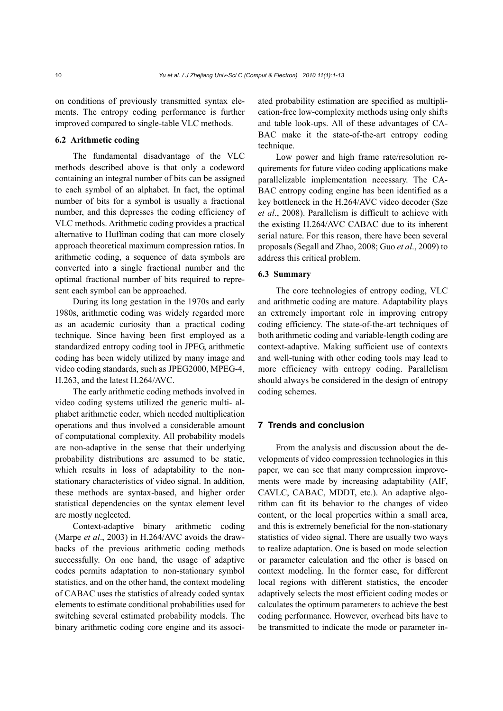on conditions of previously transmitted syntax elements. The entropy coding performance is further improved compared to single-table VLC methods.

## **6.2 Arithmetic coding**

The fundamental disadvantage of the VLC methods described above is that only a codeword containing an integral number of bits can be assigned to each symbol of an alphabet. In fact, the optimal number of bits for a symbol is usually a fractional number, and this depresses the coding efficiency of VLC methods. Arithmetic coding provides a practical alternative to Huffman coding that can more closely approach theoretical maximum compression ratios. In arithmetic coding, a sequence of data symbols are converted into a single fractional number and the optimal fractional number of bits required to represent each symbol can be approached.

During its long gestation in the 1970s and early 1980s, arithmetic coding was widely regarded more as an academic curiosity than a practical coding technique. Since having been first employed as a standardized entropy coding tool in JPEG, arithmetic coding has been widely utilized by many image and video coding standards, such as JPEG2000, MPEG-4, H.263, and the latest H.264/AVC.

The early arithmetic coding methods involved in video coding systems utilized the generic multi- alphabet arithmetic coder, which needed multiplication operations and thus involved a considerable amount of computational complexity. All probability models are non-adaptive in the sense that their underlying probability distributions are assumed to be static, which results in loss of adaptability to the nonstationary characteristics of video signal. In addition, these methods are syntax-based, and higher order statistical dependencies on the syntax element level are mostly neglected.

Context-adaptive binary arithmetic coding (Marpe *et al*., 2003) in H.264/AVC avoids the drawbacks of the previous arithmetic coding methods successfully. On one hand, the usage of adaptive codes permits adaptation to non-stationary symbol statistics, and on the other hand, the context modeling of CABAC uses the statistics of already coded syntax elements to estimate conditional probabilities used for switching several estimated probability models. The binary arithmetic coding core engine and its associated probability estimation are specified as multiplication-free low-complexity methods using only shifts and table look-ups. All of these advantages of CA-BAC make it the state-of-the-art entropy coding technique.

Low power and high frame rate/resolution requirements for future video coding applications make parallelizable implementation necessary. The CA-BAC entropy coding engine has been identified as a key bottleneck in the H.264/AVC video decoder (Sze *et al*., 2008). Parallelism is difficult to achieve with the existing H.264/AVC CABAC due to its inherent serial nature. For this reason, there have been several proposals (Segall and Zhao, 2008; Guo *et al*., 2009) to address this critical problem.

## **6.3 Summary**

The core technologies of entropy coding, VLC and arithmetic coding are mature. Adaptability plays an extremely important role in improving entropy coding efficiency. The state-of-the-art techniques of both arithmetic coding and variable-length coding are context-adaptive. Making sufficient use of contexts and well-tuning with other coding tools may lead to more efficiency with entropy coding. Parallelism should always be considered in the design of entropy coding schemes.

## **7 Trends and conclusion**

From the analysis and discussion about the developments of video compression technologies in this paper, we can see that many compression improvements were made by increasing adaptability (AIF, CAVLC, CABAC, MDDT, etc.). An adaptive algorithm can fit its behavior to the changes of video content, or the local properties within a small area, and this is extremely beneficial for the non-stationary statistics of video signal. There are usually two ways to realize adaptation. One is based on mode selection or parameter calculation and the other is based on context modeling. In the former case, for different local regions with different statistics, the encoder adaptively selects the most efficient coding modes or calculates the optimum parameters to achieve the best coding performance. However, overhead bits have to be transmitted to indicate the mode or parameter in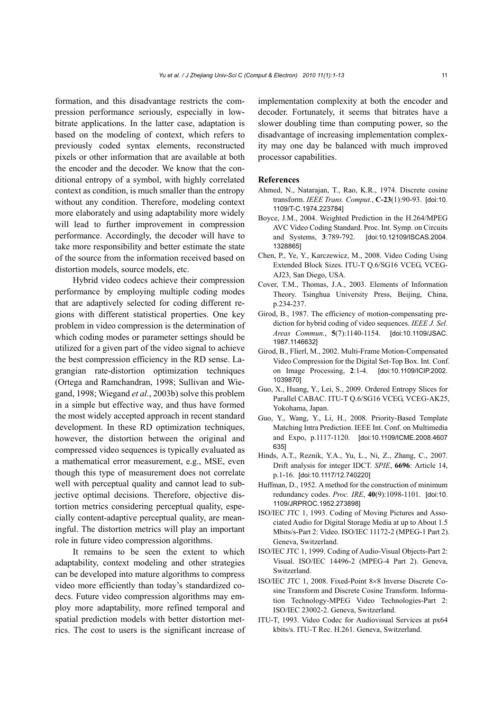formation, and this disadvantage restricts the compression performance seriously, especially in lowbitrate applications. In the latter case, adaptation is based on the modeling of context, which refers to previously coded syntax elements, reconstructed pixels or other information that are available at both the encoder and the decoder. We know that the conditional entropy of a symbol, with highly correlated context as condition, is much smaller than the entropy without any condition. Therefore, modeling context more elaborately and using adaptability more widely will lead to further improvement in compression performance. Accordingly, the decoder will have to take more responsibility and better estimate the state of the source from the information received based on distortion models, source models, etc.

Hybrid video codecs achieve their compression performance by employing multiple coding modes that are adaptively selected for coding different regions with different statistical properties. One key problem in video compression is the determination of which coding modes or parameter settings should be utilized for a given part of the video signal to achieve the best compression efficiency in the RD sense. Lagrangian rate-distortion optimization techniques (Ortega and Ramchandran, 1998; Sullivan and Wiegand, 1998; Wiegand *et al*., 2003b) solve this problem in a simple but effective way, and thus have formed the most widely accepted approach in recent standard development. In these RD optimization techniques, however, the distortion between the original and compressed video sequences is typically evaluated as a mathematical error measurement, e.g., MSE, even though this type of measurement does not correlate well with perceptual quality and cannot lead to subjective optimal decisions. Therefore, objective distortion metrics considering perceptual quality, especially content-adaptive perceptual quality, are meaningful. The distortion metrics will play an important role in future video compression algorithms.

It remains to be seen the extent to which adaptability, context modeling and other strategies can be developed into mature algorithms to compress video more efficiently than today's standardized codecs. Future video compression algorithms may employ more adaptability, more refined temporal and spatial prediction models with better distortion metrics. The cost to users is the significant increase of implementation complexity at both the encoder and decoder. Fortunately, it seems that bitrates have a slower doubling time than computing power, so the disadvantage of increasing implementation complexity may one day be balanced with much improved processor capabilities.

#### **References**

- Ahmed, N., Natarajan, T., Rao, K.R., 1974. Discrete cosine transform. *IEEE Trans. Comput.*, **C-23**(1):90-93. [doi:10. 1109/T-C.1974.223784]
- Boyce, J.M., 2004. Weighted Prediction in the H.264/MPEG AVC Video Coding Standard. Proc. Int. Symp. on Circuits and Systems, **3**:789-792. [doi:10.12109/ISCAS.2004. 1328865]
- Chen, P., Ye, Y., Karczewicz, M., 2008. Video Coding Using Extended Block Sizes. ITU-T Q.6/SG16 VCEG, VCEG-AJ23, San Diego, USA.
- Cover, T.M., Thomas, J.A., 2003. Elements of Information Theory. Tsinghua University Press, Beijing, China, p.234-237.
- Girod, B., 1987. The efficiency of motion-compensating prediction for hybrid coding of video sequences. *IEEE J. Sel. Areas Commun.*, **5**(7):1140-1154. [doi:10.1109/JSAC. 1987.1146632]
- Girod, B., Flierl, M., 2002. Multi-Frame Motion-Compensated Video Compression for the Digital Set-Top Box. Int. Conf. on Image Processing, **2**:1-4. [doi:10.1109/ICIP.2002. 1039870]
- Guo, X., Huang, Y., Lei, S., 2009. Ordered Entropy Slices for Parallel CABAC. ITU-T Q.6/SG16 VCEG, VCEG-AK25, Yokohama, Japan.
- Guo, Y., Wang, Y., Li, H., 2008. Priority-Based Template Matching Intra Prediction. IEEE Int. Conf. on Multimedia and Expo, p.1117-1120. [doi:10.1109/ICME.2008.4607 635]
- Hinds, A.T., Reznik, Y.A., Yu, L., Ni, Z., Zhang, C., 2007. Drift analysis for integer IDCT. *SPIE*, **6696**: Article 14, p.1-16. [doi:10.1117/12.740220]
- Huffman, D., 1952. A method for the construction of minimum redundancy codes. *Proc. IRE*, **40**(9):1098-1101. [doi:10. 1109/JRPROC.1952.273898]
- ISO/IEC JTC 1, 1993. Coding of Moving Pictures and Associated Audio for Digital Storage Media at up to About 1.5 Mbits/s-Part 2: Video. ISO/IEC 11172-2 (MPEG-1 Part 2). Geneva, Switzerland.
- ISO/IEC JTC 1, 1999. Coding of Audio-Visual Objects-Part 2: Visual. ISO/IEC 14496-2 (MPEG-4 Part 2). Geneva, Switzerland.
- ISO/IEC JTC 1, 2008. Fixed-Point 8×8 Inverse Discrete Cosine Transform and Discrete Cosine Transform. Information Technology-MPEG Video Technologies-Part 2: ISO/IEC 23002-2. Geneva, Switzerland.
- ITU-T, 1993. Video Codec for Audiovisual Services at px64 kbits/s. ITU-T Rec. H.261. Geneva, Switzerland.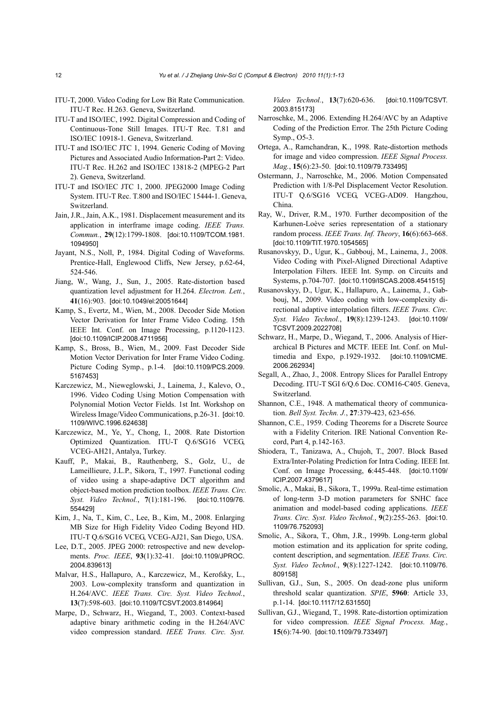- ITU-T, 2000. Video Coding for Low Bit Rate Communication. ITU-T Rec. H.263. Geneva, Switzerland.
- ITU-T and ISO/IEC, 1992. Digital Compression and Coding of Continuous-Tone Still Images. ITU-T Rec. T.81 and ISO/IEC 10918-1. Geneva, Switzerland.
- ITU-T and ISO/IEC JTC 1, 1994. Generic Coding of Moving Pictures and Associated Audio Information-Part 2: Video. ITU-T Rec. H.262 and ISO/IEC 13818-2 (MPEG-2 Part 2). Geneva, Switzerland.
- ITU-T and ISO/IEC JTC 1, 2000. JPEG2000 Image Coding System. ITU-T Rec. T.800 and ISO/IEC 15444-1. Geneva, Switzerland.
- Jain, J.R., Jain, A.K., 1981. Displacement measurement and its application in interframe image coding. *IEEE Trans. Commun.*, **29**(12):1799-1808. [doi:10.1109/TCOM.1981. 1094950]
- Jayant, N.S., Noll, P., 1984. Digital Coding of Waveforms. Prentice-Hall, Englewood Cliffs, New Jersey, p.62-64, 524-546.
- Jiang, W., Wang, J., Sun, J., 2005. Rate-distortion based quantization level adjustment for H.264. *Electron. Lett.*, **41**(16):903. [doi:10.1049/el:20051644]
- Kamp, S., Evertz, M., Wien, M., 2008. Decoder Side Motion Vector Derivation for Inter Frame Video Coding. 15th IEEE Int. Conf. on Image Processing, p.1120-1123. [doi:10.1109/ICIP.2008.4711956]
- Kamp, S., Bross, B., Wien, M., 2009. Fast Decoder Side Motion Vector Derivation for Inter Frame Video Coding. Picture Coding Symp., p.1-4. [doi:10.1109/PCS.2009. 5167453]
- Karczewicz, M., Nieweglowski, J., Lainema, J., Kalevo, O., 1996. Video Coding Using Motion Compensation with Polynomial Motion Vector Fields. 1st Int. Workshop on Wireless Image/Video Communications, p.26-31. [doi:10. 1109/WIVC.1996.624638]
- Karczewicz, M., Ye, Y., Chong, I., 2008. Rate Distortion Optimized Quantization. ITU-T Q.6/SG16 VCEG, VCEG-AH21, Antalya, Turkey.
- Kauff, P., Makai, B., Rauthenberg, S., Golz, U., de Lameillieure, J.L.P., Sikora, T., 1997. Functional coding of video using a shape-adaptive DCT algorithm and object-based motion prediction toolbox. *IEEE Trans. Circ. Syst. Video Technol.*, **7**(1):181-196. [doi:10.1109/76. 554429]
- Kim, J., Na, T., Kim, C., Lee, B., Kim, M., 2008. Enlarging MB Size for High Fidelity Video Coding Beyond HD. ITU-T Q.6/SG16 VCEG, VCEG-AJ21, San Diego, USA.
- Lee, D.T., 2005. JPEG 2000: retrospective and new developments. *Proc. IEEE*, **93**(1):32-41. [doi:10.1109/JPROC. 2004.839613]
- Malvar, H.S., Hallapuro, A., Karczewicz, M., Kerofsky, L., 2003. Low-complexity transform and quantization in H.264/AVC. *IEEE Trans. Circ. Syst. Video Technol.*, **13**(7):598-603. [doi:10.1109/TCSVT.2003.814964]
- Marpe, D., Schwarz, H., Wiegand, T., 2003. Context-based adaptive binary arithmetic coding in the H.264/AVC video compression standard. *IEEE Trans. Circ. Syst.*

*Video Technol.*, **13**(7):620-636. [doi:10.1109/TCSVT. 2003.815173]

- Narroschke, M., 2006. Extending H.264/AVC by an Adaptive Coding of the Prediction Error. The 25th Picture Coding Symp., O5-3.
- Ortega, A., Ramchandran, K., 1998. Rate-distortion methods for image and video compression. *IEEE Signal Process. Mag.*, **15**(6):23-50. [doi:10.1109/79.733495]
- Ostermann, J., Narroschke, M., 2006. Motion Compensated Prediction with 1/8-Pel Displacement Vector Resolution. ITU-T Q.6/SG16 VCEG, VCEG-AD09. Hangzhou, China.
- Ray, W., Driver, R.M., 1970. Further decomposition of the Karhunen-Loève series representation of a stationary random process. *IEEE Trans. Inf. Theory*, **16**(6):663-668. [doi:10.1109/TIT.1970.1054565]
- Rusanovskyy, D., Ugur, K., Gabbouj, M., Lainema, J., 2008. Video Coding with Pixel-Aligned Directional Adaptive Interpolation Filters. IEEE Int. Symp. on Circuits and Systems, p.704-707. [doi:10.1109/ISCAS.2008.4541515]
- Rusanovskyy, D., Ugur, K., Hallapuro, A., Lainema, J., Gabbouj, M., 2009. Video coding with low-complexity directional adaptive interpolation filters. *IEEE Trans. Circ. Syst. Video Technol.*, **19**(8):1239-1243. [doi:10.1109/ TCSVT.2009.2022708]
- Schwarz, H., Marpe, D., Wiegand, T., 2006. Analysis of Hierarchical B Pictures and MCTF. IEEE Int. Conf. on Multimedia and Expo, p.1929-1932. [doi:10.1109/ICME. 2006.262934]
- Segall, A., Zhao, J., 2008. Entropy Slices for Parallel Entropy Decoding. ITU-T SGI 6/Q.6 Doc. COM16-C405. Geneva, Switzerland.
- Shannon, C.E., 1948. A mathematical theory of communication. *Bell Syst. Techn. J.*, **27**:379-423, 623-656.
- Shannon, C.E., 1959. Coding Theorems for a Discrete Source with a Fidelity Criterion. IRE National Convention Record, Part 4, p.142-163.
- Shiodera, T., Tanizawa, A., Chujoh, T., 2007. Block Based Extra/Inter-Polating Prediction for Intra Coding. IEEE Int. Conf. on Image Processing, **6**:445-448. [doi:10.1109/ ICIP.2007.4379617]
- Smolic, A., Makai, B., Sikora, T., 1999a. Real-time estimation of long-term 3-D motion parameters for SNHC face animation and model-based coding applications. *IEEE Trans. Circ. Syst. Video Technol.*, **9**(2):255-263. [doi:10. 1109/76.752093]
- Smolic, A., Sikora, T., Ohm, J.R., 1999b. Long-term global motion estimation and its application for sprite coding, content description, and segmentation. *IEEE Trans. Circ. Syst. Video Technol.*, **9**(8):1227-1242. [doi:10.1109/76. 809158]
- Sullivan, G.J., Sun, S., 2005. On dead-zone plus uniform threshold scalar quantization. *SPIE*, **5960**: Article 33, p.1-14. [doi:10.1117/12.631550]
- Sullivan, G.J., Wiegand, T., 1998. Rate-distortion optimization for video compression. *IEEE Signal Process. Mag.*, **15**(6):74-90. [doi:10.1109/79.733497]